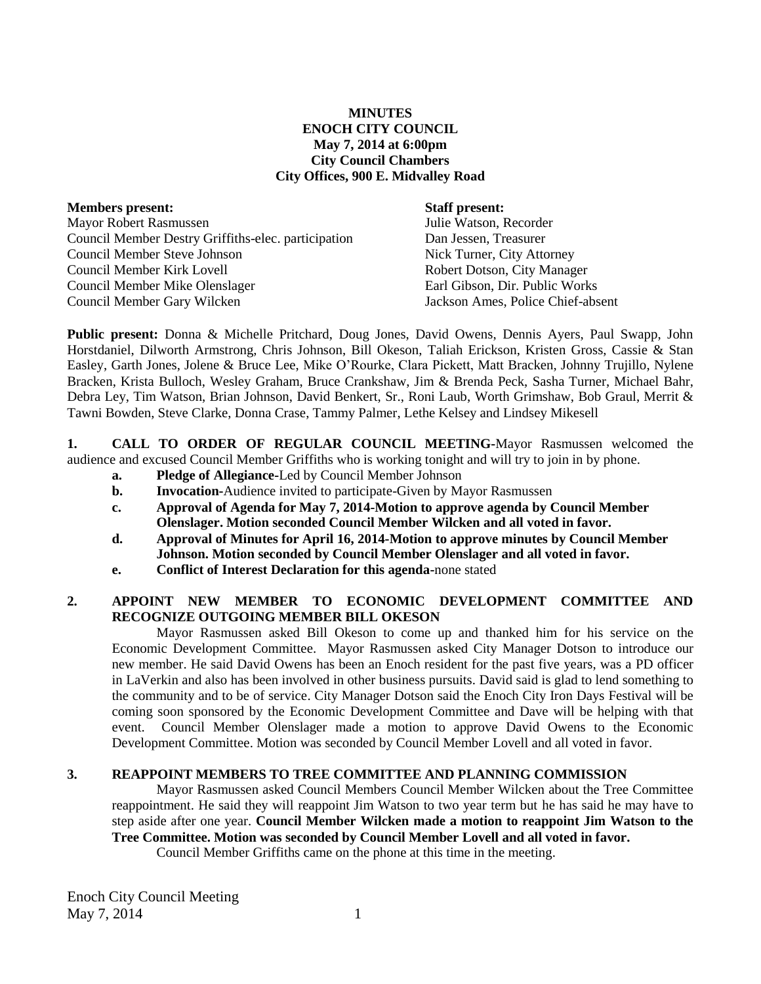# **MINUTES ENOCH CITY COUNCIL May 7, 2014 at 6:00pm City Council Chambers City Offices, 900 E. Midvalley Road**

| <b>Members present:</b>                             | <b>Staff present:</b>             |
|-----------------------------------------------------|-----------------------------------|
| Mayor Robert Rasmussen                              | Julie Watson, Recorder            |
| Council Member Destry Griffiths-elec. participation | Dan Jessen, Treasurer             |
| Council Member Steve Johnson                        | Nick Turner, City Attorney        |
| Council Member Kirk Lovell                          | Robert Dotson, City Manager       |
| Council Member Mike Olenslager                      | Earl Gibson, Dir. Public Works    |
| Council Member Gary Wilcken                         | Jackson Ames, Police Chief-absent |

**Public present:** Donna & Michelle Pritchard, Doug Jones, David Owens, Dennis Ayers, Paul Swapp, John Horstdaniel, Dilworth Armstrong, Chris Johnson, Bill Okeson, Taliah Erickson, Kristen Gross, Cassie & Stan Easley, Garth Jones, Jolene & Bruce Lee, Mike O'Rourke, Clara Pickett, Matt Bracken, Johnny Trujillo, Nylene Bracken, Krista Bulloch, Wesley Graham, Bruce Crankshaw, Jim & Brenda Peck, Sasha Turner, Michael Bahr, Debra Ley, Tim Watson, Brian Johnson, David Benkert, Sr., Roni Laub, Worth Grimshaw, Bob Graul, Merrit & Tawni Bowden, Steve Clarke, Donna Crase, Tammy Palmer, Lethe Kelsey and Lindsey Mikesell

**1. CALL TO ORDER OF REGULAR COUNCIL MEETING-**Mayor Rasmussen welcomed the audience and excused Council Member Griffiths who is working tonight and will try to join in by phone.

- **a. Pledge of Allegiance-**Led by Council Member Johnson
- **b. Invocation-**Audience invited to participate-Given by Mayor Rasmussen
- **c. Approval of Agenda for May 7, 2014-Motion to approve agenda by Council Member Olenslager. Motion seconded Council Member Wilcken and all voted in favor.**
- **d. Approval of Minutes for April 16, 2014-Motion to approve minutes by Council Member Johnson. Motion seconded by Council Member Olenslager and all voted in favor.**
- **e. Conflict of Interest Declaration for this agenda-**none stated

# **2. APPOINT NEW MEMBER TO ECONOMIC DEVELOPMENT COMMITTEE AND RECOGNIZE OUTGOING MEMBER BILL OKESON**

Mayor Rasmussen asked Bill Okeson to come up and thanked him for his service on the Economic Development Committee. Mayor Rasmussen asked City Manager Dotson to introduce our new member. He said David Owens has been an Enoch resident for the past five years, was a PD officer in LaVerkin and also has been involved in other business pursuits. David said is glad to lend something to the community and to be of service. City Manager Dotson said the Enoch City Iron Days Festival will be coming soon sponsored by the Economic Development Committee and Dave will be helping with that event. Council Member Olenslager made a motion to approve David Owens to the Economic Development Committee. Motion was seconded by Council Member Lovell and all voted in favor.

# **3. REAPPOINT MEMBERS TO TREE COMMITTEE AND PLANNING COMMISSION**

Mayor Rasmussen asked Council Members Council Member Wilcken about the Tree Committee reappointment. He said they will reappoint Jim Watson to two year term but he has said he may have to step aside after one year. **Council Member Wilcken made a motion to reappoint Jim Watson to the Tree Committee. Motion was seconded by Council Member Lovell and all voted in favor.** 

Council Member Griffiths came on the phone at this time in the meeting.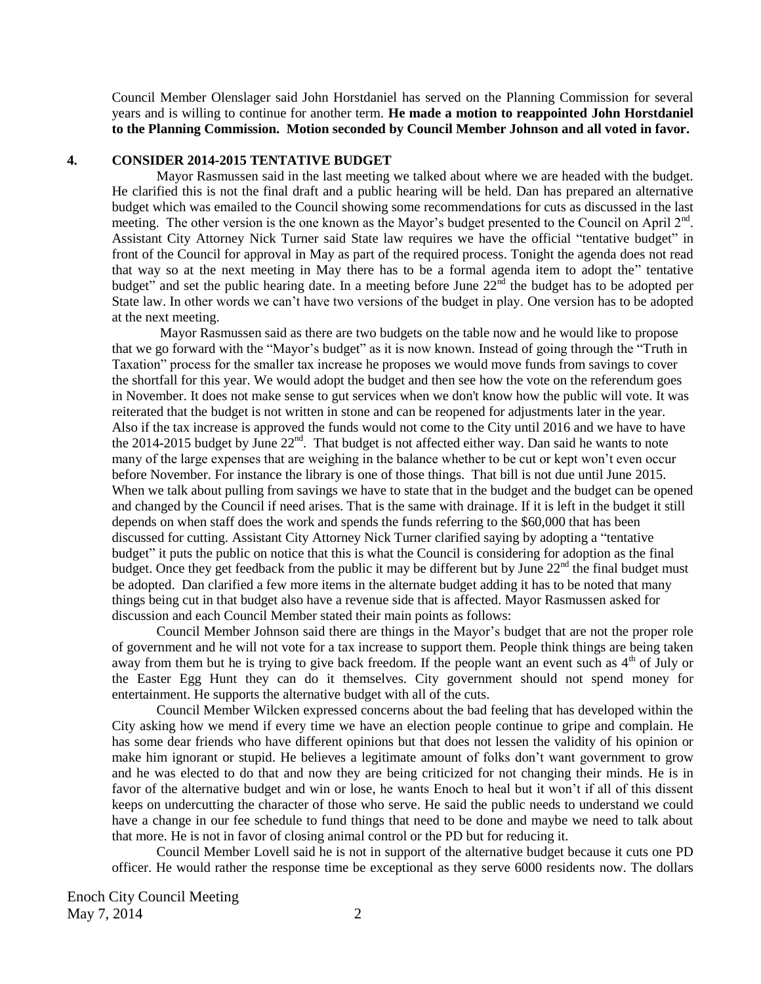Council Member Olenslager said John Horstdaniel has served on the Planning Commission for several years and is willing to continue for another term. **He made a motion to reappointed John Horstdaniel to the Planning Commission. Motion seconded by Council Member Johnson and all voted in favor.** 

# **4. CONSIDER 2014-2015 TENTATIVE BUDGET**

Mayor Rasmussen said in the last meeting we talked about where we are headed with the budget. He clarified this is not the final draft and a public hearing will be held. Dan has prepared an alternative budget which was emailed to the Council showing some recommendations for cuts as discussed in the last meeting. The other version is the one known as the Mayor's budget presented to the Council on April  $2<sup>nd</sup>$ . Assistant City Attorney Nick Turner said State law requires we have the official "tentative budget" in front of the Council for approval in May as part of the required process. Tonight the agenda does not read that way so at the next meeting in May there has to be a formal agenda item to adopt the" tentative budget" and set the public hearing date. In a meeting before June  $22<sup>nd</sup>$  the budget has to be adopted per State law. In other words we can't have two versions of the budget in play. One version has to be adopted at the next meeting.

Mayor Rasmussen said as there are two budgets on the table now and he would like to propose that we go forward with the "Mayor's budget" as it is now known. Instead of going through the "Truth in Taxation" process for the smaller tax increase he proposes we would move funds from savings to cover the shortfall for this year. We would adopt the budget and then see how the vote on the referendum goes in November. It does not make sense to gut services when we don't know how the public will vote. It was reiterated that the budget is not written in stone and can be reopened for adjustments later in the year. Also if the tax increase is approved the funds would not come to the City until 2016 and we have to have the 2014-2015 budget by June  $22<sup>nd</sup>$ . That budget is not affected either way. Dan said he wants to note many of the large expenses that are weighing in the balance whether to be cut or kept won't even occur before November. For instance the library is one of those things. That bill is not due until June 2015. When we talk about pulling from savings we have to state that in the budget and the budget can be opened and changed by the Council if need arises. That is the same with drainage. If it is left in the budget it still depends on when staff does the work and spends the funds referring to the \$60,000 that has been discussed for cutting. Assistant City Attorney Nick Turner clarified saying by adopting a "tentative budget" it puts the public on notice that this is what the Council is considering for adoption as the final budget. Once they get feedback from the public it may be different but by June  $22<sup>nd</sup>$  the final budget must be adopted.Dan clarified a few more items in the alternate budget adding it has to be noted that many things being cut in that budget also have a revenue side that is affected. Mayor Rasmussen asked for discussion and each Council Member stated their main points as follows:

Council Member Johnson said there are things in the Mayor's budget that are not the proper role of government and he will not vote for a tax increase to support them. People think things are being taken away from them but he is trying to give back freedom. If the people want an event such as  $4<sup>th</sup>$  of July or the Easter Egg Hunt they can do it themselves. City government should not spend money for entertainment. He supports the alternative budget with all of the cuts.

Council Member Wilcken expressed concerns about the bad feeling that has developed within the City asking how we mend if every time we have an election people continue to gripe and complain. He has some dear friends who have different opinions but that does not lessen the validity of his opinion or make him ignorant or stupid. He believes a legitimate amount of folks don't want government to grow and he was elected to do that and now they are being criticized for not changing their minds. He is in favor of the alternative budget and win or lose, he wants Enoch to heal but it won't if all of this dissent keeps on undercutting the character of those who serve. He said the public needs to understand we could have a change in our fee schedule to fund things that need to be done and maybe we need to talk about that more. He is not in favor of closing animal control or the PD but for reducing it.

Council Member Lovell said he is not in support of the alternative budget because it cuts one PD officer. He would rather the response time be exceptional as they serve 6000 residents now. The dollars

Enoch City Council Meeting May 7, 2014 2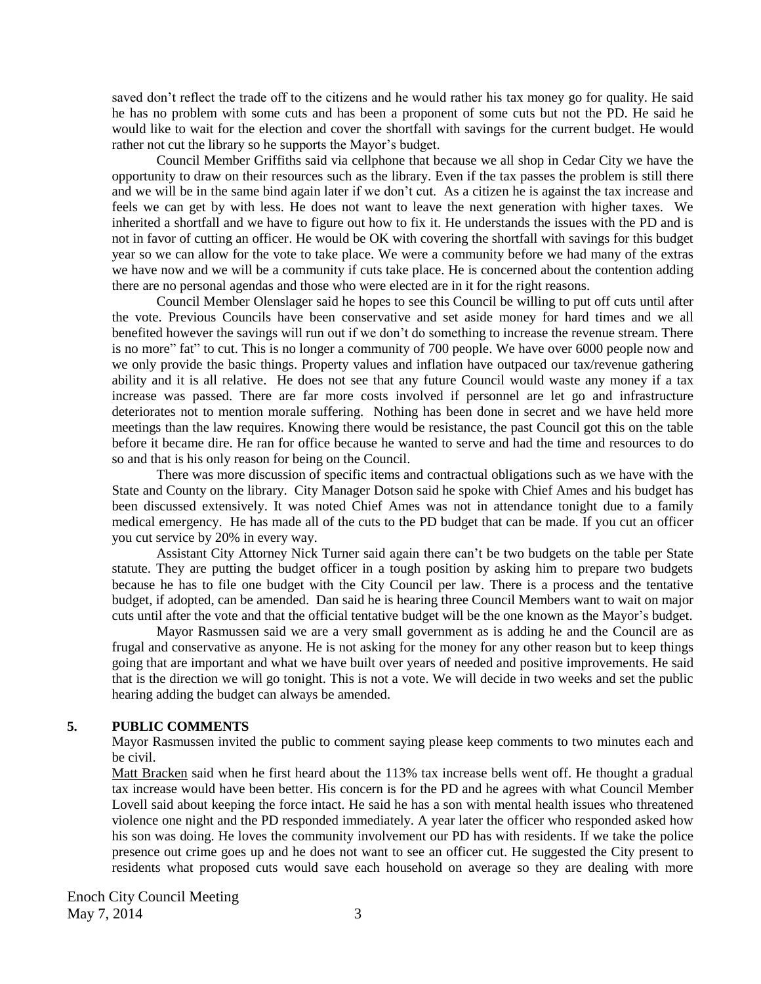saved don't reflect the trade off to the citizens and he would rather his tax money go for quality. He said he has no problem with some cuts and has been a proponent of some cuts but not the PD. He said he would like to wait for the election and cover the shortfall with savings for the current budget. He would rather not cut the library so he supports the Mayor's budget.

Council Member Griffiths said via cellphone that because we all shop in Cedar City we have the opportunity to draw on their resources such as the library. Even if the tax passes the problem is still there and we will be in the same bind again later if we don't cut. As a citizen he is against the tax increase and feels we can get by with less. He does not want to leave the next generation with higher taxes. We inherited a shortfall and we have to figure out how to fix it. He understands the issues with the PD and is not in favor of cutting an officer. He would be OK with covering the shortfall with savings for this budget year so we can allow for the vote to take place. We were a community before we had many of the extras we have now and we will be a community if cuts take place. He is concerned about the contention adding there are no personal agendas and those who were elected are in it for the right reasons.

Council Member Olenslager said he hopes to see this Council be willing to put off cuts until after the vote. Previous Councils have been conservative and set aside money for hard times and we all benefited however the savings will run out if we don't do something to increase the revenue stream. There is no more" fat" to cut. This is no longer a community of 700 people. We have over 6000 people now and we only provide the basic things. Property values and inflation have outpaced our tax/revenue gathering ability and it is all relative. He does not see that any future Council would waste any money if a tax increase was passed. There are far more costs involved if personnel are let go and infrastructure deteriorates not to mention morale suffering. Nothing has been done in secret and we have held more meetings than the law requires. Knowing there would be resistance, the past Council got this on the table before it became dire. He ran for office because he wanted to serve and had the time and resources to do so and that is his only reason for being on the Council.

There was more discussion of specific items and contractual obligations such as we have with the State and County on the library. City Manager Dotson said he spoke with Chief Ames and his budget has been discussed extensively. It was noted Chief Ames was not in attendance tonight due to a family medical emergency. He has made all of the cuts to the PD budget that can be made. If you cut an officer you cut service by 20% in every way.

Assistant City Attorney Nick Turner said again there can't be two budgets on the table per State statute. They are putting the budget officer in a tough position by asking him to prepare two budgets because he has to file one budget with the City Council per law. There is a process and the tentative budget, if adopted, can be amended. Dan said he is hearing three Council Members want to wait on major cuts until after the vote and that the official tentative budget will be the one known as the Mayor's budget.

Mayor Rasmussen said we are a very small government as is adding he and the Council are as frugal and conservative as anyone. He is not asking for the money for any other reason but to keep things going that are important and what we have built over years of needed and positive improvements. He said that is the direction we will go tonight. This is not a vote. We will decide in two weeks and set the public hearing adding the budget can always be amended.

# **5. PUBLIC COMMENTS**

Mayor Rasmussen invited the public to comment saying please keep comments to two minutes each and be civil.

Matt Bracken said when he first heard about the 113% tax increase bells went off. He thought a gradual tax increase would have been better. His concern is for the PD and he agrees with what Council Member Lovell said about keeping the force intact. He said he has a son with mental health issues who threatened violence one night and the PD responded immediately. A year later the officer who responded asked how his son was doing. He loves the community involvement our PD has with residents. If we take the police presence out crime goes up and he does not want to see an officer cut. He suggested the City present to residents what proposed cuts would save each household on average so they are dealing with more

Enoch City Council Meeting May  $7, 2014$  3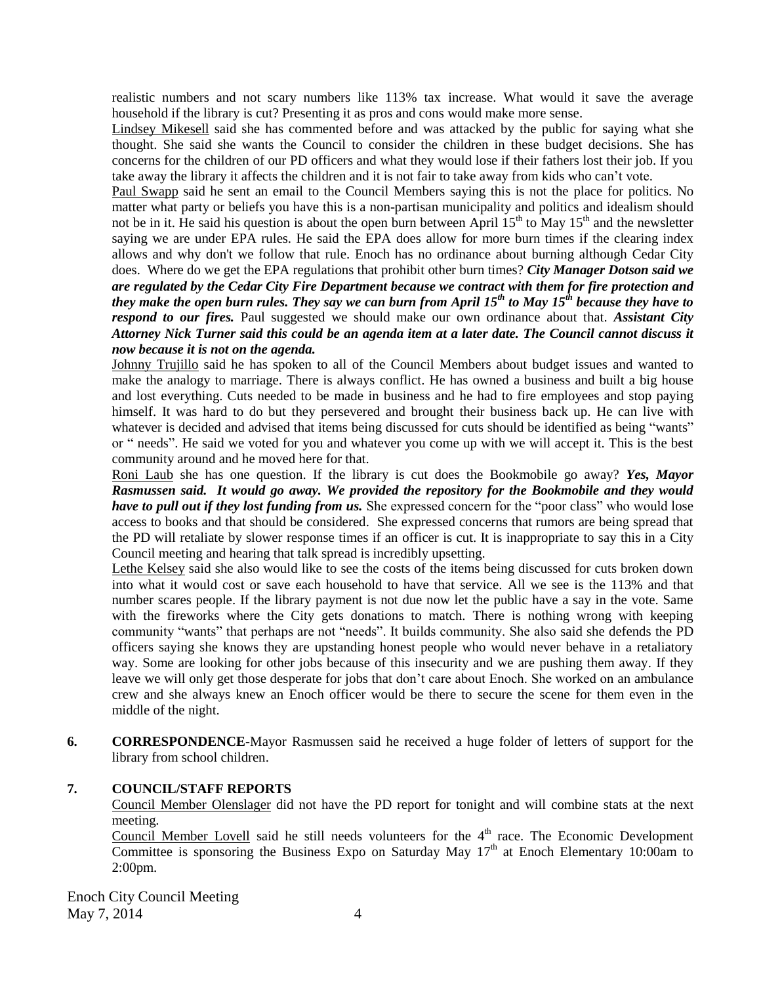realistic numbers and not scary numbers like 113% tax increase. What would it save the average household if the library is cut? Presenting it as pros and cons would make more sense.

Lindsey Mikesell said she has commented before and was attacked by the public for saying what she thought. She said she wants the Council to consider the children in these budget decisions. She has concerns for the children of our PD officers and what they would lose if their fathers lost their job. If you take away the library it affects the children and it is not fair to take away from kids who can't vote.

Paul Swapp said he sent an email to the Council Members saying this is not the place for politics. No matter what party or beliefs you have this is a non-partisan municipality and politics and idealism should not be in it. He said his question is about the open burn between April  $15<sup>th</sup>$  to May  $15<sup>th</sup>$  and the newsletter saying we are under EPA rules. He said the EPA does allow for more burn times if the clearing index allows and why don't we follow that rule. Enoch has no ordinance about burning although Cedar City does. Where do we get the EPA regulations that prohibit other burn times? *City Manager Dotson said we are regulated by the Cedar City Fire Department because we contract with them for fire protection and they make the open burn rules. They say we can burn from April 15th to May 15th because they have to respond to our fires.* Paul suggested we should make our own ordinance about that. *Assistant City Attorney Nick Turner said this could be an agenda item at a later date. The Council cannot discuss it now because it is not on the agenda.*

Johnny Trujillo said he has spoken to all of the Council Members about budget issues and wanted to make the analogy to marriage. There is always conflict. He has owned a business and built a big house and lost everything. Cuts needed to be made in business and he had to fire employees and stop paying himself. It was hard to do but they persevered and brought their business back up. He can live with whatever is decided and advised that items being discussed for cuts should be identified as being "wants" or " needs". He said we voted for you and whatever you come up with we will accept it. This is the best community around and he moved here for that.

Roni Laub she has one question. If the library is cut does the Bookmobile go away? *Yes, Mayor Rasmussen said. It would go away. We provided the repository for the Bookmobile and they would have to pull out if they lost funding from us.* She expressed concern for the "poor class" who would lose access to books and that should be considered. She expressed concerns that rumors are being spread that the PD will retaliate by slower response times if an officer is cut. It is inappropriate to say this in a City Council meeting and hearing that talk spread is incredibly upsetting.

Lethe Kelsey said she also would like to see the costs of the items being discussed for cuts broken down into what it would cost or save each household to have that service. All we see is the 113% and that number scares people. If the library payment is not due now let the public have a say in the vote. Same with the fireworks where the City gets donations to match. There is nothing wrong with keeping community "wants" that perhaps are not "needs". It builds community. She also said she defends the PD officers saying she knows they are upstanding honest people who would never behave in a retaliatory way. Some are looking for other jobs because of this insecurity and we are pushing them away. If they leave we will only get those desperate for jobs that don't care about Enoch. She worked on an ambulance crew and she always knew an Enoch officer would be there to secure the scene for them even in the middle of the night.

**6. CORRESPONDENCE-**Mayor Rasmussen said he received a huge folder of letters of support for the library from school children.

# **7. COUNCIL/STAFF REPORTS**

Council Member Olenslager did not have the PD report for tonight and will combine stats at the next meeting.

Council Member Lovell said he still needs volunteers for the  $4<sup>th</sup>$  race. The Economic Development Committee is sponsoring the Business Expo on Saturday May  $17<sup>th</sup>$  at Enoch Elementary 10:00am to 2:00pm.

Enoch City Council Meeting May  $7, 2014$  4